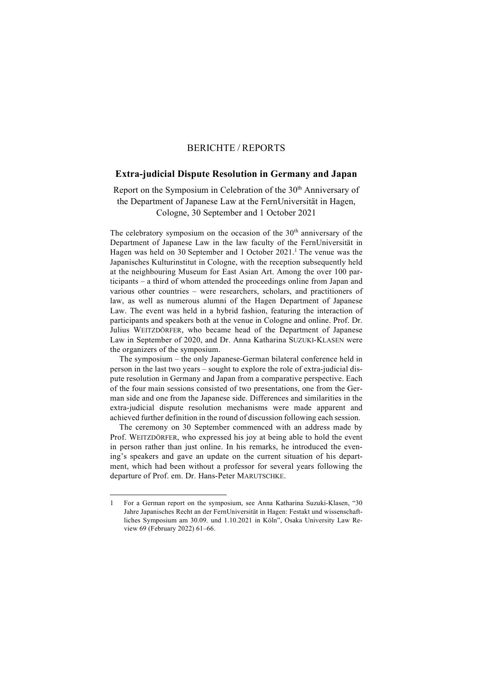## BERICHTE / REPORTS

## **Extra-judicial Dispute Resolution in Germany and Japan**

Report on the Symposium in Celebration of the 30<sup>th</sup> Anniversary of the Department of Japanese Law at the FernUniversität in Hagen, Cologne, 30 September and 1 October 2021

The celebratory symposium on the occasion of the 30<sup>th</sup> anniversary of the Department of Japanese Law in the law faculty of the FernUniversität in Hagen was held on 30 September and 1 October  $2021$ .<sup>1</sup> The venue was the Japanisches Kulturinstitut in Cologne, with the reception subsequently held at the neighbouring Museum for East Asian Art. Among the over 100 participants – a third of whom attended the proceedings online from Japan and various other countries – were researchers, scholars, and practitioners of law, as well as numerous alumni of the Hagen Department of Japanese Law. The event was held in a hybrid fashion, featuring the interaction of participants and speakers both at the venue in Cologne and online. Prof. Dr. Julius WEITZDÖRFER, who became head of the Department of Japanese Law in September of 2020, and Dr. Anna Katharina SUZUKI-KLASEN were the organizers of the symposium.

The symposium – the only Japanese-German bilateral conference held in person in the last two years – sought to explore the role of extra-judicial dispute resolution in Germany and Japan from a comparative perspective. Each of the four main sessions consisted of two presentations, one from the German side and one from the Japanese side. Differences and similarities in the extra-judicial dispute resolution mechanisms were made apparent and achieved further definition in the round of discussion following each session.

The ceremony on 30 September commenced with an address made by Prof. WEITZDÖRFER, who expressed his joy at being able to hold the event in person rather than just online. In his remarks, he introduced the evening's speakers and gave an update on the current situation of his department, which had been without a professor for several years following the departure of Prof. em. Dr. Hans-Peter MARUTSCHKE.

<sup>1</sup> For a German report on the symposium, see Anna Katharina Suzuki-Klasen, "30 Jahre Japanisches Recht an der FernUniversität in Hagen: Festakt und wissenschaftliches Symposium am 30.09. und 1.10.2021 in Köln", Osaka University Law Review 69 (February 2022) 61–66.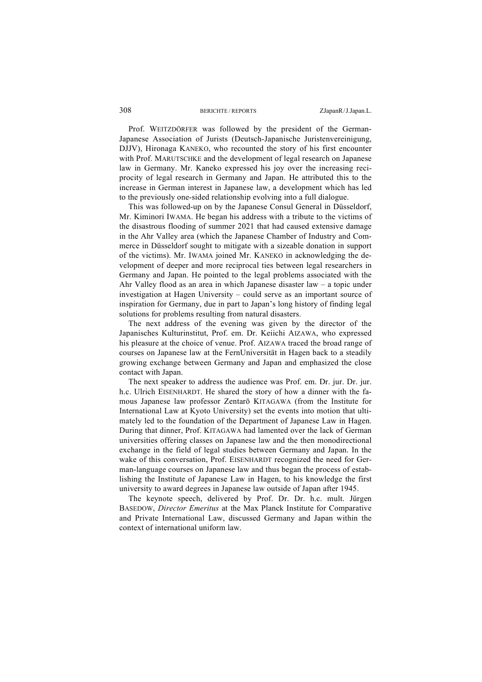## 308 BERICHTE/REPORTS ZJapanR/J.Japan.L.

Prof. WEITZDÖRFER was followed by the president of the German-Japanese Association of Jurists (Deutsch-Japanische Juristenvereinigung, DJJV), Hironaga KANEKO, who recounted the story of his first encounter with Prof. MARUTSCHKE and the development of legal research on Japanese law in Germany. Mr. Kaneko expressed his joy over the increasing reciprocity of legal research in Germany and Japan. He attributed this to the increase in German interest in Japanese law, a development which has led to the previously one-sided relationship evolving into a full dialogue.

This was followed-up on by the Japanese Consul General in Düsseldorf, Mr. Kiminori IWAMA. He began his address with a tribute to the victims of the disastrous flooding of summer 2021 that had caused extensive damage in the Ahr Valley area (which the Japanese Chamber of Industry and Commerce in Düsseldorf sought to mitigate with a sizeable donation in support of the victims). Mr. IWAMA joined Mr. KANEKO in acknowledging the development of deeper and more reciprocal ties between legal researchers in Germany and Japan. He pointed to the legal problems associated with the Ahr Valley flood as an area in which Japanese disaster law – a topic under investigation at Hagen University – could serve as an important source of inspiration for Germany, due in part to Japan's long history of finding legal solutions for problems resulting from natural disasters.

The next address of the evening was given by the director of the Japanisches Kulturinstitut, Prof. em. Dr. Keiichi AIZAWA, who expressed his pleasure at the choice of venue. Prof. AIZAWA traced the broad range of courses on Japanese law at the FernUniversität in Hagen back to a steadily growing exchange between Germany and Japan and emphasized the close contact with Japan.

The next speaker to address the audience was Prof. em. Dr. jur. Dr. jur. h.c. Ulrich EISENHARDT. He shared the story of how a dinner with the famous Japanese law professor Zentarō KITAGAWA (from the Institute for International Law at Kyoto University) set the events into motion that ultimately led to the foundation of the Department of Japanese Law in Hagen. During that dinner, Prof. KITAGAWA had lamented over the lack of German universities offering classes on Japanese law and the then monodirectional exchange in the field of legal studies between Germany and Japan. In the wake of this conversation, Prof. EISENHARDT recognized the need for German-language courses on Japanese law and thus began the process of establishing the Institute of Japanese Law in Hagen, to his knowledge the first university to award degrees in Japanese law outside of Japan after 1945.

The keynote speech, delivered by Prof. Dr. Dr. h.c. mult. Jürgen BASEDOW, *Director Emeritus* at the Max Planck Institute for Comparative and Private International Law, discussed Germany and Japan within the context of international uniform law.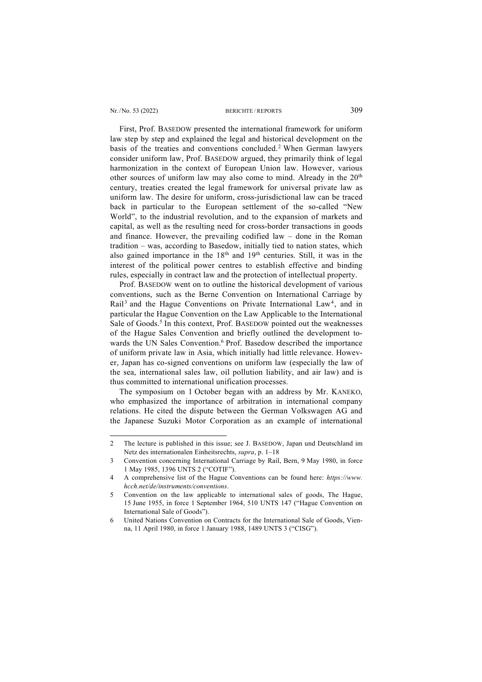## Nr./No. 53 (2022) BERICHTE/REPORTS 309

First, Prof. BASEDOW presented the international framework for uniform law step by step and explained the legal and historical development on the basis of the treaties and conventions concluded.2 When German lawyers consider uniform law, Prof. BASEDOW argued, they primarily think of legal harmonization in the context of European Union law. However, various other sources of uniform law may also come to mind. Already in the 20<sup>th</sup> century, treaties created the legal framework for universal private law as uniform law. The desire for uniform, cross-jurisdictional law can be traced back in particular to the European settlement of the so-called "New World", to the industrial revolution, and to the expansion of markets and capital, as well as the resulting need for cross-border transactions in goods and finance. However, the prevailing codified law – done in the Roman tradition – was, according to Basedow, initially tied to nation states, which also gained importance in the  $18<sup>th</sup>$  and  $19<sup>th</sup>$  centuries. Still, it was in the interest of the political power centres to establish effective and binding rules, especially in contract law and the protection of intellectual property.

Prof. BASEDOW went on to outline the historical development of various conventions, such as the Berne Convention on International Carriage by Rail<sup>3</sup> and the Hague Conventions on Private International Law<sup>4</sup>, and in particular the Hague Convention on the Law Applicable to the International Sale of Goods. <sup>5</sup> In this context, Prof. BASEDOW pointed out the weaknesses of the Hague Sales Convention and briefly outlined the development towards the UN Sales Convention. <sup>6</sup> Prof. Basedow described the importance of uniform private law in Asia, which initially had little relevance. However, Japan has co-signed conventions on uniform law (especially the law of the sea, international sales law, oil pollution liability, and air law) and is thus committed to international unification processes.

The symposium on 1 October began with an address by Mr. KANEKO, who emphasized the importance of arbitration in international company relations. He cited the dispute between the German Volkswagen AG and the Japanese Suzuki Motor Corporation as an example of international

<sup>2</sup> The lecture is published in this issue; see J. BASEDOW, Japan und Deutschland im Netz des internationalen Einheitsrechts, *supra*, p. 1–18

<sup>3</sup> Convention concerning International Carriage by Rail, Bern, 9 May 1980, in force 1 May 1985, 1396 UNTS 2 ("COTIF").

<sup>4</sup> A comprehensive list of the Hague Conventions can be found here: *https://www. hcch.net/de/instruments/conventions*.

<sup>5</sup> Convention on the law applicable to international sales of goods, The Hague, 15 June 1955, in force 1 September 1964, 510 UNTS 147 ("Hague Convention on International Sale of Goods").

<sup>6</sup> United Nations Convention on Contracts for the International Sale of Goods, Vienna, 11 April 1980, in force 1 January 1988, 1489 UNTS 3 ("CISG").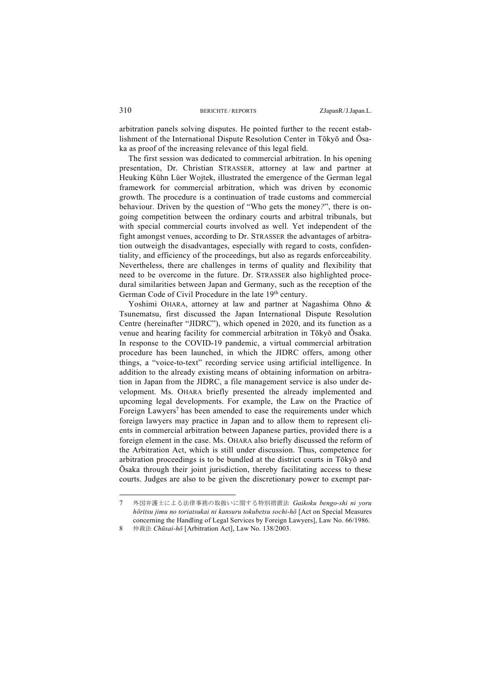arbitration panels solving disputes. He pointed further to the recent establishment of the International Dispute Resolution Center in Tōkyō and Ōsaka as proof of the increasing relevance of this legal field.

The first session was dedicated to commercial arbitration. In his opening presentation, Dr. Christian STRASSER, attorney at law and partner at Heuking Kühn Lüer Wojtek, illustrated the emergence of the German legal framework for commercial arbitration, which was driven by economic growth. The procedure is a continuation of trade customs and commercial behaviour. Driven by the question of "Who gets the money*?*", there is ongoing competition between the ordinary courts and arbitral tribunals, but with special commercial courts involved as well*.* Yet independent of the fight amongst venues, according to Dr. STRASSER the advantages of arbitration outweigh the disadvantages, especially with regard to costs, confidentiality, and efficiency of the proceedings, but also as regards enforceability. Nevertheless, there are challenges in terms of quality and flexibility that need to be overcome in the future. Dr. STRASSER also highlighted procedural similarities between Japan and Germany, such as the reception of the German Code of Civil Procedure in the late 19<sup>th</sup> century.

Yoshimi OHARA, attorney at law and partner at Nagashima Ohno & Tsunematsu, first discussed the Japan International Dispute Resolution Centre (hereinafter "JIDRC"), which opened in 2020, and its function as a venue and hearing facility for commercial arbitration in Tōkyō and Ōsaka. In response to the COVID-19 pandemic, a virtual commercial arbitration procedure has been launched, in which the JIDRC offers, among other things, a "voice-to-text" recording service using artificial intelligence. In addition to the already existing means of obtaining information on arbitration in Japan from the JIDRC, a file management service is also under development. Ms. OHARA briefly presented the already implemented and upcoming legal developments. For example, the Law on the Practice of Foreign Lawyers<sup>7</sup> has been amended to ease the requirements under which foreign lawyers may practice in Japan and to allow them to represent clients in commercial arbitration between Japanese parties, provided there is a foreign element in the case. Ms. OHARA also briefly discussed the reform of the Arbitration Act, which is still under discussion. Thus, competence for arbitration proceedings is to be bundled at the district courts in Tōkyō and Ōsaka through their joint jurisdiction, thereby facilitating access to these courts. Judges are also to be given the discretionary power to exempt par-

<sup>7</sup> 外国弁護士による法律事務の取扱いに関する特別措置法 *Gaikoku bengo-shi ni yoru hōritsu jimu no toriatsukai ni kansuru tokubetsu sochi-hō* [Act on Special Measures concerning the Handling of Legal Services by Foreign Lawyers], Law No. 66/1986.

<sup>8</sup> 仲裁法 *Chūsai-hō* [Arbitration Act], Law No. 138/2003.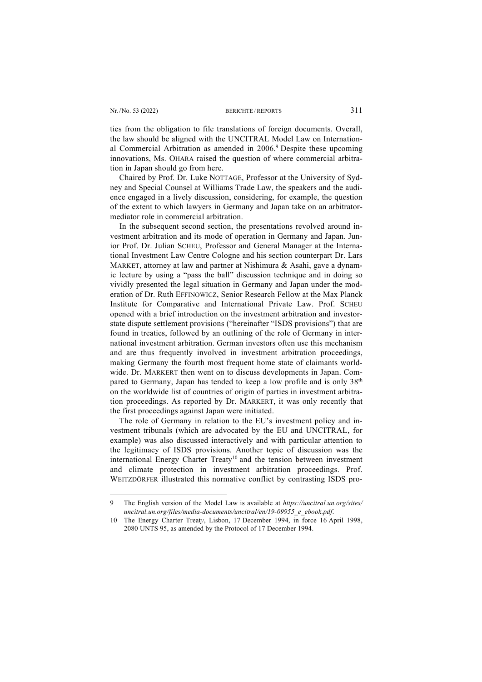ties from the obligation to file translations of foreign documents. Overall, the law should be aligned with the UNCITRAL Model Law on International Commercial Arbitration as amended in 2006. <sup>9</sup> Despite these upcoming innovations, Ms. OHARA raised the question of where commercial arbitration in Japan should go from here.

Chaired by Prof. Dr. Luke NOTTAGE, Professor at the University of Sydney and Special Counsel at Williams Trade Law, the speakers and the audience engaged in a lively discussion, considering, for example, the question of the extent to which lawyers in Germany and Japan take on an arbitratormediator role in commercial arbitration.

In the subsequent second section, the presentations revolved around investment arbitration and its mode of operation in Germany and Japan. Junior Prof. Dr. Julian SCHEU, Professor and General Manager at the International Investment Law Centre Cologne and his section counterpart Dr. Lars MARKET, attorney at law and partner at Nishimura & Asahi, gave a dynamic lecture by using a "pass the ball" discussion technique and in doing so vividly presented the legal situation in Germany and Japan under the moderation of Dr. Ruth EFFINOWICZ, Senior Research Fellow at the Max Planck Institute for Comparative and International Private Law. Prof. SCHEU opened with a brief introduction on the investment arbitration and investorstate dispute settlement provisions ("hereinafter "ISDS provisions") that are found in treaties, followed by an outlining of the role of Germany in international investment arbitration. German investors often use this mechanism and are thus frequently involved in investment arbitration proceedings, making Germany the fourth most frequent home state of claimants worldwide. Dr. MARKERT then went on to discuss developments in Japan. Compared to Germany, Japan has tended to keep a low profile and is only  $38<sup>th</sup>$ on the worldwide list of countries of origin of parties in investment arbitration proceedings. As reported by Dr. MARKERT, it was only recently that the first proceedings against Japan were initiated.

The role of Germany in relation to the EU's investment policy and investment tribunals (which are advocated by the EU and UNCITRAL, for example) was also discussed interactively and with particular attention to the legitimacy of ISDS provisions. Another topic of discussion was the international Energy Charter Treaty<sup>10</sup> and the tension between investment and climate protection in investment arbitration proceedings. Prof. WEITZDÖRFER illustrated this normative conflict by contrasting ISDS pro-

<sup>9</sup> The English version of the Model Law is available at *https://uncitral.un.org/sites/ uncitral.un.org/files/media-documents/uncitral/en/19-09955\_e\_ebook.pdf*.

<sup>10</sup> The Energy Charter Treat*y*, Lisbon, 17 December 1994, in force 16 April 1998, 2080 UNTS 95, as amended by the Protocol of 17 December 1994.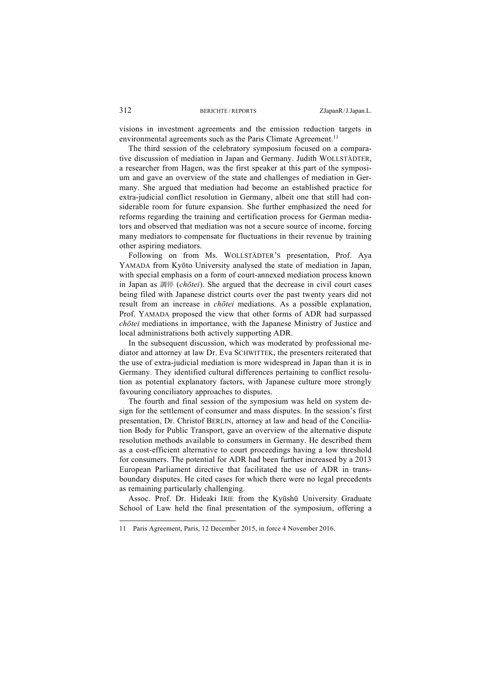visions in investment agreements and the emission reduction targets in environmental agreements such as the Paris Climate Agreement.<sup>11</sup>

The third session of the celebratory symposium focused on a comparative discussion of mediation in Japan and Germany. Judith WOLLSTÄDTER, a researcher from Hagen, was the first speaker at this part of the symposium and gave an overview of the state and challenges of mediation in Germany. She argued that mediation had become an established practice for extra-judicial conflict resolution in Germany, albeit one that still had considerable room for future expansion. She further emphasized the need for reforms regarding the training and certification process for German mediators and observed that mediation was not a secure source of income, forcing many mediators to compensate for fluctuations in their revenue by training other aspiring mediators.

Following on from Ms. WOLLSTÄDTER'S presentation, Prof. Aya YAMADA from Kyōto University analysed the state of mediation in Japan, with special emphasis on a form of court-annexed mediation process known in Japan as 調停 (*chōtei*). She argued that the decrease in civil court cases being filed with Japanese district courts over the past twenty years did not result from an increase in *chōtei* mediations. As a possible explanation, Prof. YAMADA proposed the view that other forms of ADR had surpassed *chōtei* mediations in importance, with the Japanese Ministry of Justice and local administrations both actively supporting ADR.

In the subsequent discussion, which was moderated by professional mediator and attorney at law Dr. Eva SCHWITTEK, the presenters reiterated that the use of extra-judicial mediation is more widespread in Japan than it is in Germany. They identified cultural differences pertaining to conflict resolution as potential explanatory factors, with Japanese culture more strongly favouring conciliatory approaches to disputes.

The fourth and final session of the symposium was held on system design for the settlement of consumer and mass disputes. In the session's first presentation, Dr. Christof BERLIN, attorney at law and head of the Conciliation Body for Public Transport, gave an overview of the alternative dispute resolution methods available to consumers in Germany. He described them as a cost-efficient alternative to court proceedings having a low threshold for consumers. The potential for ADR had been further increased by a 2013 European Parliament directive that facilitated the use of ADR in transboundary disputes. He cited cases for which there were no legal precedents as remaining particularly challenging.

Assoc. Prof. Dr. Hideaki IRIE from the Kyūshū University Graduate School of Law held the final presentation of the symposium, offering a

<sup>11</sup> Paris Agreement, Paris, 12 December 2015, in force 4 November 2016.